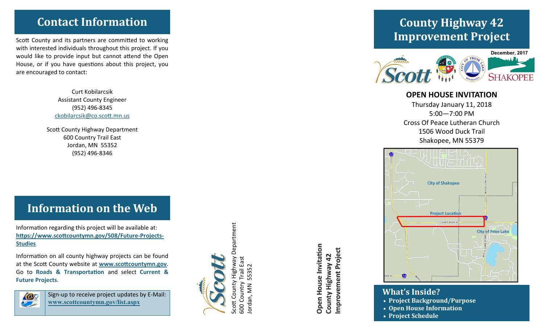### **Contact Information**

Scott County and its partners are committed to working with interested individuals throughout this project. If you would like to provide input but cannot attend the Open House, or if you have questions about this project, you are encouraged to contact:

> Curt Kobilarcsik Assistant County Engineer (952) 496 -8345 ckobilarcsik@co.scott.mn.us

Scott County Highway Department 600 Country Trail East Jordan, MN 55352 (952) 496 -8346

# **Information on the Web**

Information regarding this project will be available at: **https://www.scottcountymn.gov/508/Future -Projects - Studies**

Information on all county highway projects can be found at the Scott County website at **www.scottcountymn.gov** . Go to **Roads & Transportation** and select **Current & Future Projects** .



Sign -up to receive project updates by E -Mail: **www.scottcountymn.gov/list.aspx**



Highway Department Scott County Highway Department 600 Country Trail East Trail East Jordan, MN 55352  $\frac{5}{3}$ in<br>D County 500 Country ordan, MN Scott

**Open House Invitation Open House Invitation** Improvement Project **Improvement Project** County Highway 42 **County Highway 42**

# **County Highway 42 Improvement Project**



#### **OPEN HOUSE INVITATION**

Thursday January 11, 2018 5:00 —7:00 PM Cross Of Peace Lutheran Church 1506 Wood Duck Trail Shakopee, MN 55379



**What's Inside? Project Background/Purpose Open House Information Project Schedule**